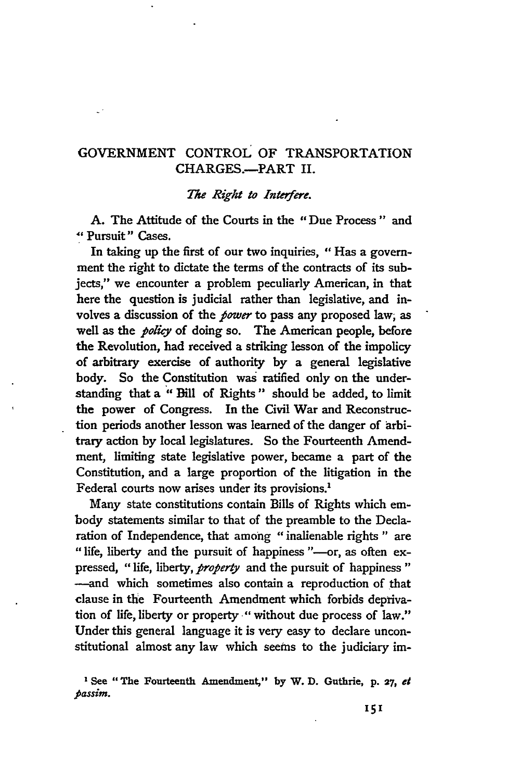# GOVERNMENT CONTROL OF TRANSPORTATION CHARGES.-PART II.

## The Right to Interfere.

**A.** The Attitude of the Courts in the "Due Process" and Pursuit" Cases.

In taking up the first of our two inquiries, "Has a government the right to dictate the terms of the contracts of its subjects," we encounter a problem peculiarly American, in that here the question is judicial rather than legislative, and involves a discussion of the *power* to pass any proposed law, as well as the *poliy* of doing so. The American people, before the Revolution, had received a striking lesson of the impolicy of arbitrary exercise of authority **by** a general legislative body. So the Constitution was ratified only on the understanding that a "Bill of Rights" should be added, to limit the power of Congress. In the Civil War and Reconstruction periods another lesson was learned of the danger of arbitrary action **by** local legislatures. So the Fourteenth Amendment, limiting state legislative power, became a part of the Constitution, and a large proportion of the litigation in the Federal courts now arises under its provisions.'

Many state constitutions contain Bills of Rights which embody statements similar to that of the preamble to the Declaration of Independence, that among "inalienable rights " are "life, liberty and the pursuit of happiness "-or, as often expressed, "life, liberty, *property* and the pursuit of happiness" -and which sometimes also contain a reproduction of that clause in the Fourteenth Amendment which forbids deprivation of life, liberty or property " without due process of law." Under this general language it is very easy to declare unconstitutional almost any law which seems to the judiciary im-

**<sup>1</sup>** See "The Fourteenth Amendment," **by** W. **D.** Guthrie, **p. 27,** *et passim.*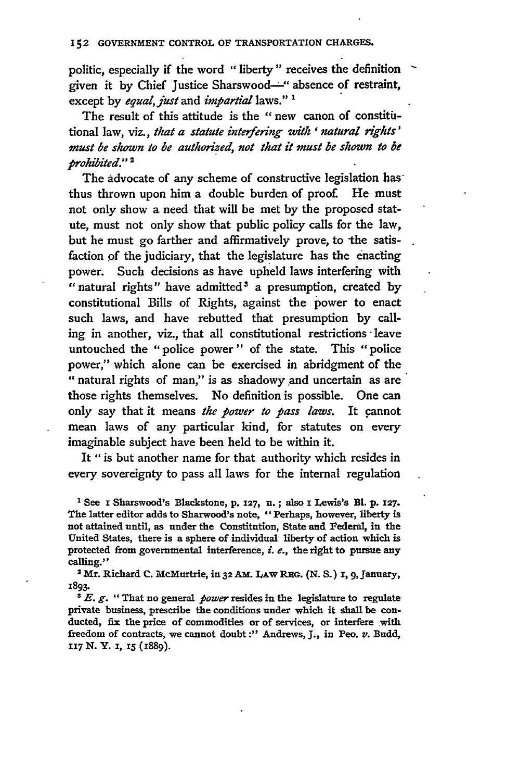politic, especially if the word "liberty" receives the definition given it by Chief Justice Sharswood-" absence of restraint, except by *equal, just* and *impatial* laws." 1

The result of this attitude is the "new canon of constitutional law, viz., *that a statute interfering with ' natural* rights' *must be shown to be authorized, not that it must be shown to be prohihited."* 2

The advocate of any scheme of constructive legislation hasthus thrown upon him a double burden of proof. He must not only show a need that will be met by the proposed statute, must not only show that public policy calls for the law, but he must go farther and affirmatively prove, to the satisfaction **of** the judiciary, that the legislature has the enacting power. Such decisions as have upheld laws interfering with " natural rights" have admitted $3$  a presumption, created by constitutional Bills of Rights, against the power to enact such laws, and have rebutted that presumption by calling in another, viz., that all constitutional restrictions leave untouched the "police power" of the state. This "police power," which alone can be exercised in abridgment of the " natural rights of man," is as shadowy and uncertain as are those rights themselves. No definition is possible. One can only say that it means *the power to pass laws.* It cannot mean laws of any particular kind, for statutes on every imaginable subject have been held to be within it.

It "is but another name for that authority which resides in every sovereignty to pass all laws for the internal regulation

**I** See I Sharswood's Blackstone, **p. 127,** n. **;** also i Lewis's BL. **p. 127.** The latter editor adds to Sharwood's note, "Perhaps, however, liberty is not attained until, as under the Constitution, State and Federal, in the United States, there is a sphere of individual liberty of action which is protected from governmental interference, *i. e.,* the right to pursue any calling."

2Mr. Richard **C.** McMurtrie, in **32** AM. LAW **R-G. (N. S.) 1, 9,** January, 1893.

*I E.g.* "That no general *fiower* resides in the legislature to regulate private business, prescribe the conditions under which it shall be conducted, fix the price of commodities or of services, or interfere with freedom of contracts, we cannot doubt :" Andrews, **J.,** in Peo. v. Budd, **117 N.** Y. **I, 15** (1889).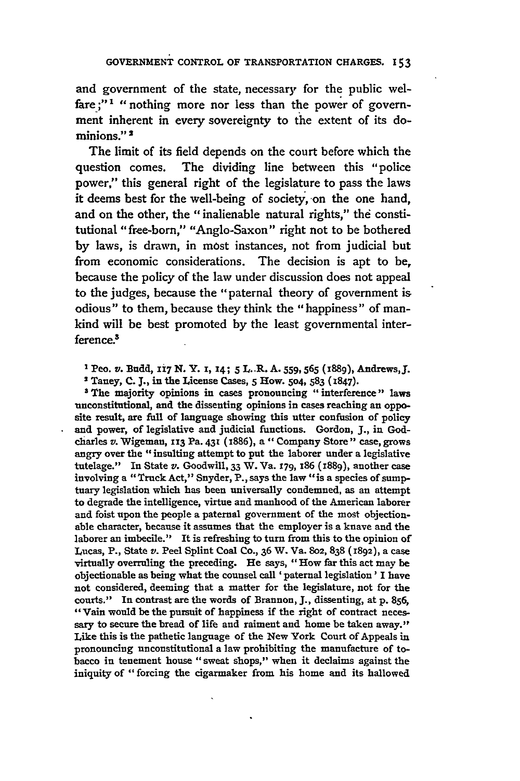and government of the state, necessary for the public welfare;"<sup>1</sup> "nothing more nor less than the power of government inherent in every sovereignty to the extent of its dominions."<sup>2</sup>

The limit of its field depends on the court before which the question comes. The dividing line between this "police power," this general right of the legislature to pass the laws it deems best for the well-being of society, on the one hand, and on the other, the "inalienable natural rights," the constitutional "free-born," "Anglo-Saxon" right not to be bothered by laws, is drawn, in most instances, not from judicial but from economic considerations. The decision is apt to be, because the policy of the law under discussion does not appeal to the judges, because the "paternal theory of government is odious" to them, because they think the "happiness" of mankind will be best promoted **by** the least governmental interference.<sup>3</sup>

**I** Peo. v. Budd, 1i7 **N. Y. I, I4;** 5 L..R. **A. 559, 565** (1889), Andrews,J.

2 Taney, **C. J.,** in the License Cases, **5** How. **504, 583 (1847). <sup>3</sup>**The majority opinions in cases pronouncing "interference" laws unconstitutional, and the dissenting opinions in cases reaching an opposite result, are **full** of language showing this utter confusion of policy and power, of legislative and judicial functions. Gordon, **J.,** in Godciarles v. Wigeman, **113** Pa. 431 (i886), a "Company Store" case, grows angry over the "insulting attempt to put the laborer under a legislative tutelage." In State v. Goodwill, **33** W. Va. **179,** 186 (1889), another case involving a " Truck Act," Snyder, P., says the law "is a species of sumptuary legislation which has been universally condemned, as an attempt to degrade the intelligence, virtue and manhood of the American laborer and foist upon the people a paternal government of the most objectionable character, because it assumes that the employer is a knave and the laborer an imbecile." It is refreshing to turn from this to the opinion of I.ucas, P., State v. Peel Splint Coal **Co.,** 36 W. Va. **802, 838 (1892),** a case virtually overruling the preceding. He says, "How far this act may be objectionable as being what the counsel call 'paternal legislation **'** I have not considered, deeming that a matter for the legislature, not for the courts." In contrast are the words of Brannon, **J.,** dissenting, at **p. 856,** "Vain would be the pursuit of happiness if the right of contract necessary to secure the bread of life and raiment and home be taken away." Like this is the pathetic language of the New York Court of Appeals in pronouncing unconstitutional a law prohibiting the manufacture of tobacco in tenement house "sweat shops," when it declaims against the iniquity of "forcing the cigarmaker from his home and its hallowed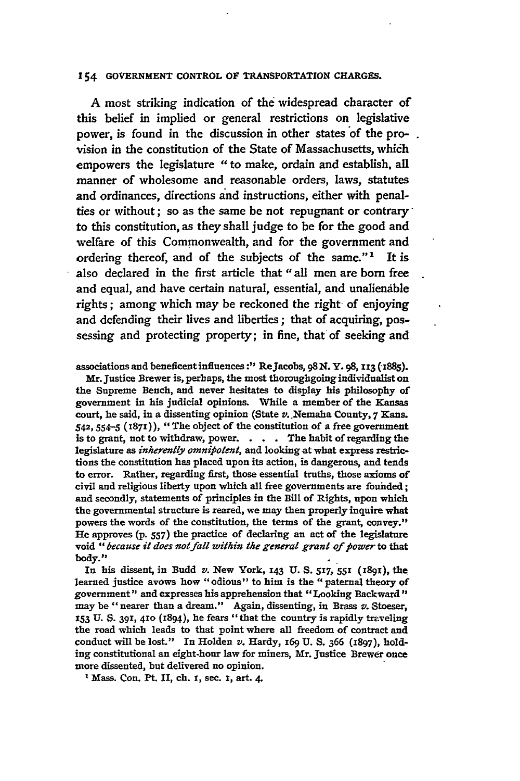**A** most striking indication of the widespread character of this belief in implied or general restrictions on legislative power, is found in the discussion in other states of the provision in the constitution of the State of Massachusetts, whidh empowers the legislature *"to* make, ordain and establish, **all** manner of wholesome and reasonable orders, laws, statutes and ordinances, directions and instructions, either with penalties or without; so as the same be not repugnant or contrary to this constitution, as they shall judge to be for the good and welfare of this Commonwealth, and for the government and ordering thereof, and of the subjects of the same."<sup>1</sup> It is also declared in the first article that "all men are born free and equal, and have certain natural, essential, and unalienable rights; among which may be reckoned the right of enjoying and defending their lives and liberties; that of acquiring, possessing and protecting property; in fine, that of seeking and

associations and beneficent influences :" **ReJacobs, 98 N. Y. 98, zr3 (1885).**

Mr. Justice Brewer is, perhaps, the most thoroughgoing individualist on the Supreme Bench, and never hesitates to display his philosophy of government in his judicial opinions. While a member of the Kansas court, he said, in a dissenting opinion (State v..Nemaha County, **7** Kans. **542,** *554-5* **(1871)),** "The object of the constitution of a free government is to grant, not to withdraw, power. **. . .** The habit of regarding the legislature as *inherently omnipotent,* and looking at what express restrictions the constitution has placed upon its action, is dangerous, and tends to error. Rather, regarding first, those essential truths, those axioms of civil and religious liberty upon which all free governments are founded; and secondly, statements of principles in the Bill of Rights, upon which the governmental structure is reared, we may then properly inquire what powers the words of the constitution, the terms of the grant, convey." He approves **(p. 557)** the practice of declaring an act of the legislature void *"because it does not fall within the general grant of power* to that body."

In his dissent, in Budd v. New York, **143 U. S.** 517, **551** (i89x), **the** learned justice avows how "odious" to him is the "paternal theory of government" and expresses his apprehension that "Looking Backward" may be "nearer than a dream." Again, dissenting, in Brass v. Stoeser, **153 U. S.** 391, **410** (1894), he fears "that the country is rapidly traveling the road which leads to that point where all freedom of contract and conduct will be lost." In Holden *v.* Hardy, 169 **U. S.** 366 (1897), holding constitutional an eight-hour law for miners, Mr. Justice Brewer once more dissented, but delivered no opinion.

<sup>1</sup> Mass. Con. Pt. II, ch. 1, sec. 1, art. 4.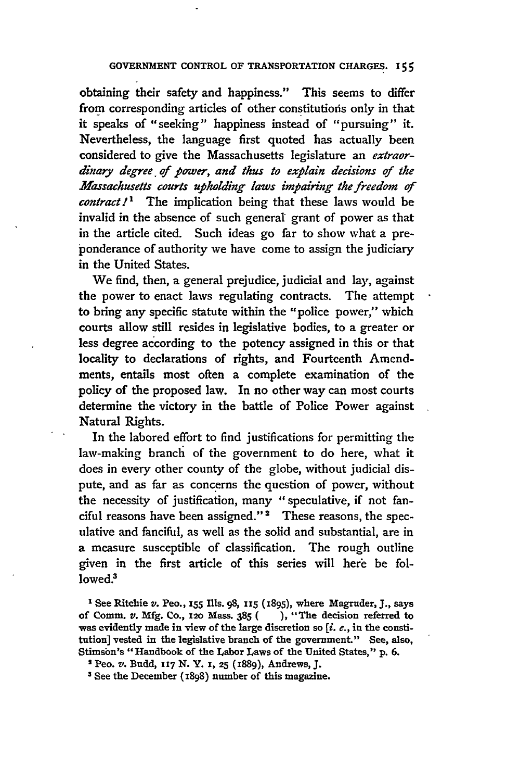obtaining their safety and happiness." This seems to differ from corresponding articles of other constitutions only in that it speaks of "seeking" happiness instead of "pursuing" it. Nevertheless, the language first quoted has actually been considered to give the Massachusetts legislature an *extraordinary degree. of power, and thus to explain decisions of the Massachusetts courts upholding laws impairing the freedom of contract!'* The implication being that these laws would be invalid in the absence of such general grant of power as that in the article cited. Such ideas go far to show what a preponderance of authority we have come to assign the judiciary in the United States.

We find, then, a general prejudice, judicial and lay, against the power to enact laws regulating contracts. The attempt to bring any specific statute within the "police power," which courts allow still resides in legislative bodies, to a greater or less degree according to the potency assigned in this or that locality to declarations of rights, and Fourteenth Amendments, entails most often a complete examination of the policy of the proposed law. In no other way can most courts determine the victory in the battle of Police Power against Natural Rights.

In the labored effort to find justifications for permitting the law-making branch of the government to do here, what it does in every other county of the globe, without judicial dispute, and as far as concerns the question of power, without the necessity of justification, many "speculative, if not fanciful reasons have been assigned."<sup>2</sup> These reasons, the speculative and fanciful, as well as the solid and substantial, are in a measure susceptible of classification. The rough outline given in the first article of this series will here be followed.<sup>3</sup>

**1 See** Ritchie *v.* **Peo., 155** Ills. **98, 115** (1895), where Magruder, **J.,** says of Comm. v. **Mfg.** Co., **i2o** Mass. **385 ( ), "The decision referred to** was evidently made in view of the large discretion so [i. *e.,* in the consti**tution]** vested in the legislative branch of the government." See, also, Stimsbn's "Handbook of the Labor Laws of the United States," **p. 6.**

2 Peo. **v.** Budd, **117 N. Y. x, 25** (1889), Andrews, **J.**

**3** See the December (1898) number of this magazine.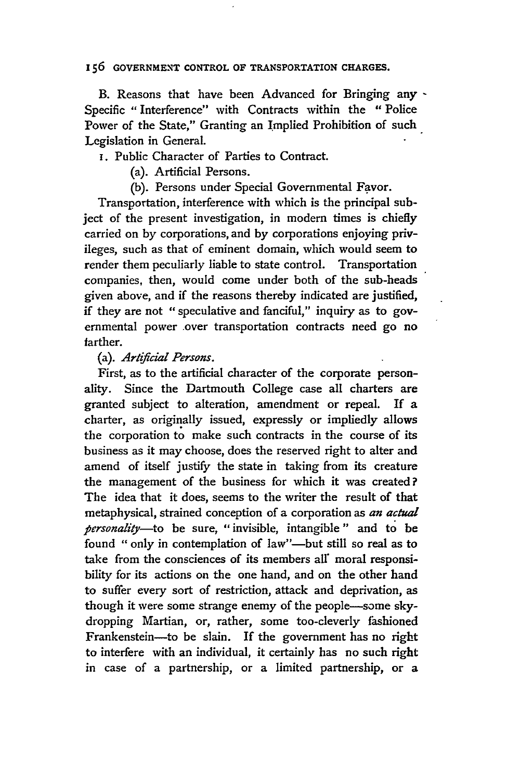B. Reasons that have been Advanced for Bringing any **-** Specific "Interference" with Contracts within the "Police Power of the State," Granting an Implied Prohibition of such Legislation in General.

**I.** Public Character of Parties to Contract.

(a). Artificial Persons.

(b). Persons under Special Governmental Favor.

Transportation, interference with which is the principal subject of the present investigation, in modem times is chiefly carried on by corporations, and by corporations enjoying privileges, such as that of eminent domain, which would seem to render them peculiarly liable to state control. Transportation companies, then, would come under both of the sub-heads given above, and if the reasons thereby indicated are justified, if they are not "speculative and fanciful," inquiry as to governmental power over transportation contracts need go no farther.

## (a). *Arificial Persons.*

First, as to the artificial character of the corporate personality. Since the Dartmouth College case all charters are granted subject to alteration, amendment or repeal. If a charter, as originally issued, expressly or impliedly allows the corporation to make such contracts in the course of its business as it may choose, does the reserved right to alter and amend of itself justify the state in taking from its creature the management of the business for which it was created? The idea that it does, seems to the writer the result of that metaphysical, strained conception of a corporation as *an actual personality-to* be sure, "invisible, intangible" and to be found "only in contemplation of law"-but still so real as to take from the consciences of its members all' moral responsibility for its actions on the one hand, and on the other hand to suffer every sort of restriction, attack and deprivation, as though it were some strange enemy of the people-some skydropping Martian, or, rather, some too-cleverly fashioned Frankenstein--- to be slain. If the government has no right to interfere with an individual, it certainly has no such right in case of a partnership, or a limited partnership, or a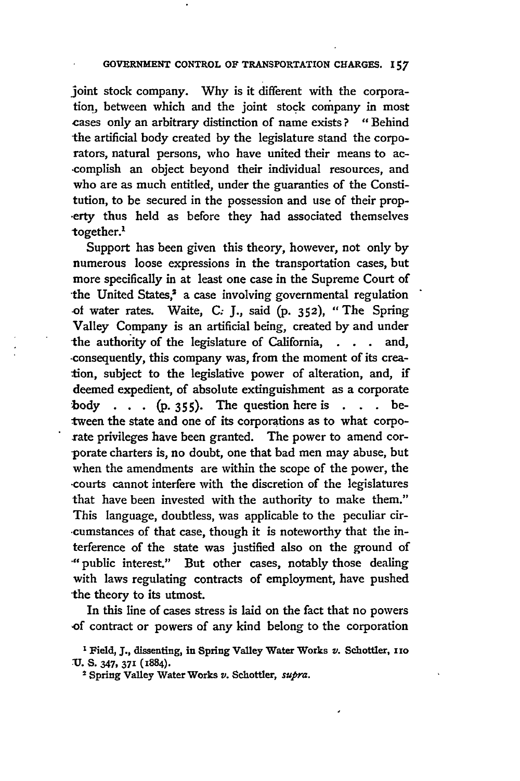joint stock company. **Why** is it different with the corporation, between which and the joint stock company in most cases only an arbitrary distinction of name exists? "Behind the artificial body created by the legislature stand the corporators, natural persons, who have united their means to ac- •complish an object beyond their individual resources, and who are as much entitled, under the guaranties of the Constitution, to be secured in the possession and use of their prop- •erty thus held as before they had associated themselves together.<sup>1</sup>

Support has been given this theory, however, not only by numerous loose expressions in the transportation cases, but more specifically in at least one case in the Supreme Court of the United States,<sup>2</sup> a case involving governmental regulation of water rates. Waite, *C:* **J.,** said (p. 352), "The Spring Valley Company is an artificial being, created by and under the authority of the legislature of California, . . . and, -consequently, this company was, from the moment of its creation, subject to the legislative power of alteration, and, if deemed expedient, of absolute extinguishment as a corporate body **. . .** (P. **355)-** The question here is **. . .** between the state and one of its corporations as to what corporate privileges have been granted. The power to amend cor- -porate charters is, no doubt, one that bad men may abuse, but when the amendments are within the scope of the power, the -courts cannot interfere with the discretion of the legislatures that have been invested with the authority to make them." This language, doubtless, was applicable to the peculiar cir- •cumstances of that case, though it is noteworthy that the interference of the state was justified also on the ground of **"** public interest." But other cases, notably those dealing with laws regulating contracts of employment, have pushed the theory to its utmost.

In this line of cases stress is laid on the fact that no powers of contract or powers of any kind belong to the corporation

2 Spring **Valley** Water **Works v. Schottler,** *supra.*

<sup>&</sup>lt;sup>1</sup> Field, J., dissenting, in Spring Valley Water Works v. Schottler, 110 **ZT. S. 347, 371 (1884).**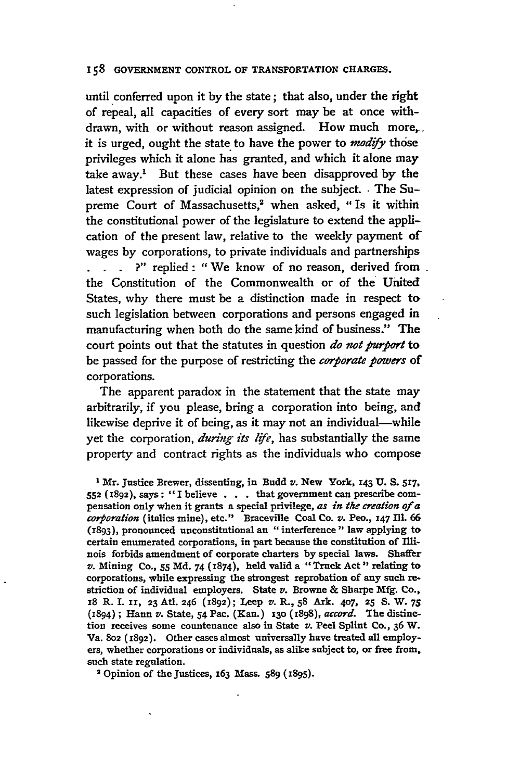until conferred upon it **by** the state; that also, under the right of repeal, all capacities of every sort may be at once withdrawn, with or without reason assigned. How much more,. it is urged, ought the state to have the power to *modify* those privileges which it alone has granted, and which it alone may take away.1 But these cases have been disapproved **by** the latest expression of judicial opinion on the subject. The Supreme Court of Massachusetts,<sup>2</sup> when asked, "Is it within the constitutional power of the legislature to extend the application of the present law, relative to the weekly payment of wages **by** corporations, to private individuals and partnerships **?"** replied: "We know of no reason, derived from the Constitution of the Commonwealth or of the United States, why there must be a distinction made in respect to, such legislation between corporations and persons engaged in manufacturing when both do the same kind of business." The court points out that the statutes in question *do not purport* to be passed for the purpose of restricting the *corporate powers* of corporations.

The apparent paradox in the statement that the state may arbitrarily, if you please, bring a corporation into being, and likewise deprive it of being, as it may not an individual—while yet the corporation, *during its life,* has substantially the same property and contract rights as the individuals who compose

**1** Mr. Justice Brewer, dissenting, in **Budd** v. New York, i43 **U. S. 517, 552 (1892),** says: "I believe **. . .** that government can prescribe compensation only when it grants a special privilege, *as in the creation of a corporation* (italics mine), etc." Braceville Coal Co. v. Peo., 147 Ill. 66 (1893), pronounced unconstitutional an "interference" law applying to certain enumerated corporations, in part because the constitution of Illinois forbids amendment of corporate charters **by** special laws. Shaffer *v.* Mining Co., **55 Md.** 74 (1874), held valid a "Truck Act" relating to corporations, while expressing the strongest reprobation of any such restriction of individual employers. State v. Browne **&** Sharpe **Mfg.** Co., 18 R. I. **i1, 23** At1. 246 (1892); Leep v. R., **58** Ark. **4o7, 25 S.** W. *75* (1894) **;** Hann *v.* State, 54 Pac. (Kan.) **13o** (1898), *accord.* The distinction receives some countenance also in State *v.* reel Splint Co., **36** W. Va. **802 (1892).** Other cases almost universally have treated all employ**ers,** whether corporations or individuals, as alike subject to, or free from, such state regulation.

2 Opinion of the Justices, **363** Mass. **589 (1895).**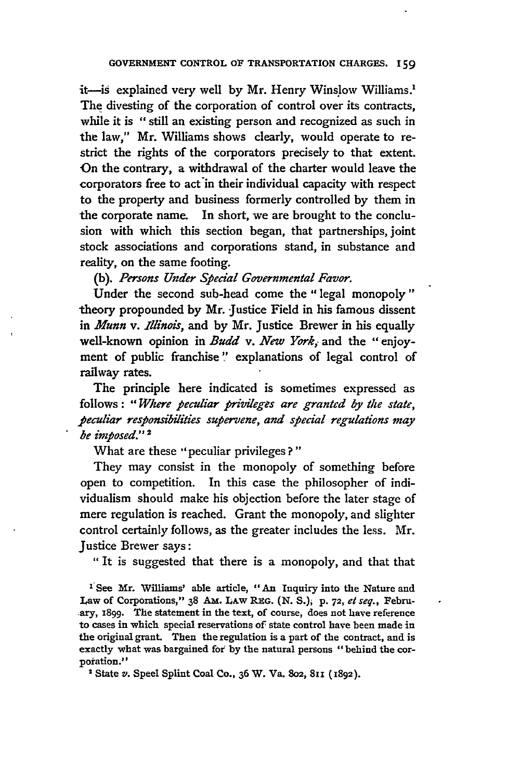it-is explained very well by Mr. Henry Winslow Williams.<sup>1</sup> The divesting of the corporation of control over its contracts, while it is "still an existing person and recognized as such in the law," Mr. Williams shows clearly, would operate to restrict the rights of the corporators precisely to that extent. On the contrary, a withdrawal of the charter would leave the corporators free to act in their individual capacity with respect to the property and business formerly controlled **by** them in the corporate name. In short, we are brought to the conclusion with which this section began, that partnerships, joint stock associations and corporations stand, in substance and reality, on the same footing.

(b). *Persons Under Special Governmental Favor.*

Under the second sub-head come the "legal monopoly" theory propounded by Mr. justice Field in his famous dissent in *Munn v. Illinois,* and by Mr. Justice Brewer in his equally well-known opinion in *Budd v. New York,* and the "enjoyment of public franchise" explanations of legal control of railway rates.

The principle here indicated is sometimes expressed as follows: *"Where peculiar privileges are granted by the state, .peculiar responsibilities supervene, and special regulations may be imposed." 2*

What are these "peculiar privileges?"

They may consist in the monopoly of something before open to competition. In this case the philosopher of individualism should make his objection before the later stage of mere regulation is reached. Grant the monopoly, and slighter control certainly follows, as the greater includes the less. Mr. Justice Brewer says:

"It is suggested that there is a monopoly, and that that

**I See** Mr. Williams' able article, "An Inquiry into the Nature and Law of Corporations," 38 AM. LAW REG. (N. S.), p. 72, et seq., Febru-.ary, 1899. The statement in the text, of course, does not have reference to cases in which special reservations of state control have been made in the original grant. Then the regulation is a part of the contract, and is exactly what was bargained for by the natural persons "behind the corporation." 2 State v. Speel Splint Coal Co., 36 W. Va. 802, **81x (1892).**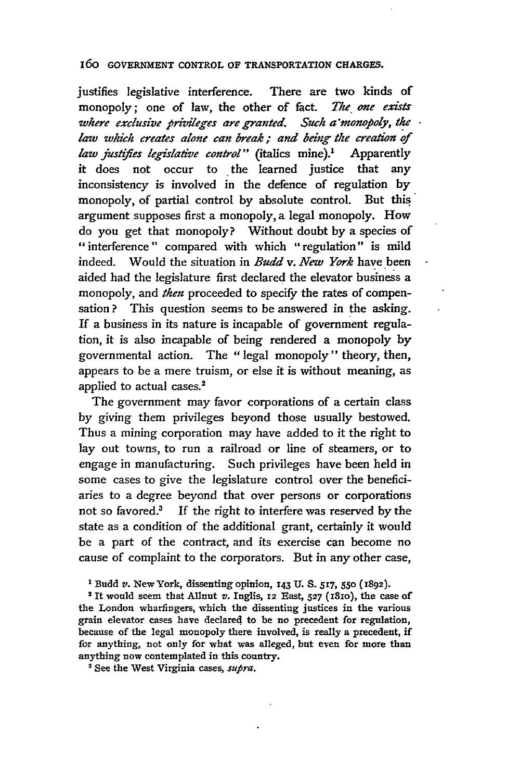justifies legislative interference. There are two kinds **of** monopoly; one of law, the other of fact. *The one* exists *where exclusive privileges are granted. Such a monopoly, the* law which creates alone can break; and being the creation of *law jusifies legislative control"* (italics mine).' Apparently it does not occur to the learned justice that any inconsistency is involved in the defence of regulation by monopoly, of partial control by absolute control. But this argument supposes first a monopoly, a legal monopoly. How do you get that monopoly? Without doubt by a species of "interference" compared with which "regulation" is mild indeed. Would the situation in *Budd v. New York* have been aided had the legislature first declared the elevator business a monopoly, and *then* proceeded to specify the rates of compensation ? This question seems to be answered in the asking. If a business in its nature is incapable of government regulation, it is also incapable of being rendered a monopoly **by** governmental action. The "legal monopoly" theory, then, appears to be a mere truism, or else it is without meaning, as applied to actual cases.<sup>2</sup>

The government may favor corporations of a certain class by giving them privileges beyond those usually bestowed. Thus a mining corporation may have added to it the right to lay out towns, to run a railroad or line of steamers, or to engage in manufacturing. Such privileges have been held in some cases to give the legislature control over the beneficiaries to a degree beyond that over persons or corporations not so favored.<sup>3</sup> If the right to interfere was reserved by the state as a condition of the additional grant, certainly it would be a part of the contract, and its exercise can become no cause of complaint to the corporators. But in any other case,

**I** Budd *v.* New York, dissenting opinion, **143 U. S. 517, 550 (1892).**

**<sup>2</sup>**It would seem that Allnut *V.* Inglis, **12** East, **527** (I8io), the case of the London wharfingers, which the dissenting justices in the various grain elevator cases have declared to be no precedent for regulation, because of the legal monopoly there involved, is really a precedent, if for anything, not only for what was alleged, **but** even for more than anything now contemplated in this country.

<sup>3</sup> See the West Virginia cases, *supra*.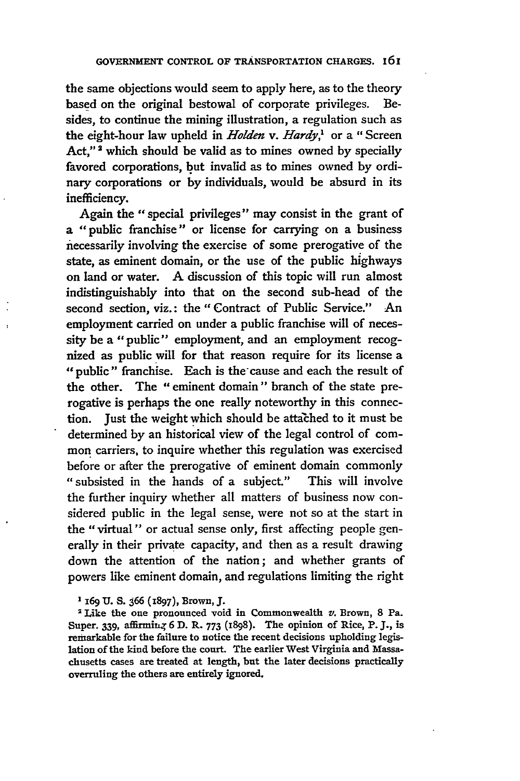the same objections would seem to apply here, as to the theory based on the original bestowal of corporate privileges. Besides, to continue the mining illustration, a regulation such as the eight-hour law upheld in *Holden v. Hardy*,<sup>1</sup> or a "Screen Act,"' which should be valid as to mines owned **by** specially favored corporations, but invalid as to mines owned **by** ordinary corporations or **by** individuals, would be absurd in its inefficiency.

Again the "special privileges" may consist in the grant of a "public franchise" or license for carrying on a business necessarily involving the exercise of some prerogative of the state, as eminent domain, or the use of the public highways on land or water. **A** discussion of this topic will run almost indistinguishably into that on the second sub-head of the second section, viz.: the "Contract of Public Service." An employment carried on under a public franchise will of necessity be a "public" employment, and an employment recognized as public will for that reason require for its license a " public" franchise. Each is the cause and each the result of the other. The "eminent domain" branch of the state prerogative is perhaps the one really noteworthy in this connection. Just the weight which should be attached to it must be determined by an historical view of the legal control of common carriers, to inquire whether this regulation was exercised before or after the prerogative of eminent domain commonly "subsisted in the hands of a subject." This will involve the further inquiry whether all matters of business now considered public in the legal sense, were not so at the start in the "virtual" or actual sense only, first affecting people generally in their private capacity, and then as a result drawing down the attention of the nation; and whether grants of powers like eminent domain, and regulations limiting the right

**<sup>1</sup> i69 U. S. 366 (1897),** Brown, **J.**

**<sup>2</sup>**Like the one pronounced void in Commonwealth v. Brown, **8** Pa. Super. **339,** affirmitg 6 **D.** R. **773** (I898). The opinion of Rice, P. **J.,** is remarkable for the failure to notice the recent decisions upholding legislation of the kind before the court. The earlier West Virginia and Massachusetts cases are treated at length, but the later decisions practically overruling the others are entirely ignored.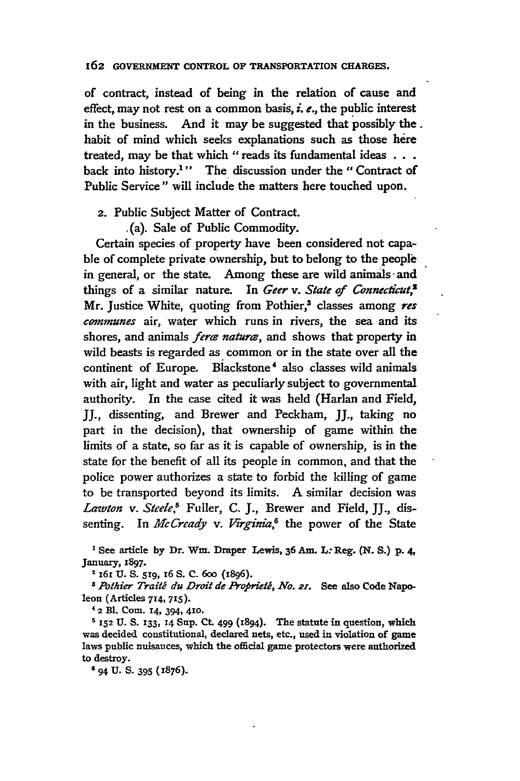of contract, instead of being in the relation of cause and effect, may not rest on a common basis, *i.* **e.,** the public interest in the business. And it may be suggested that possibly the. habit of mind which seeks explanations such as those here treated, may be that which "reads its fundamental ideas **.. .** back into history.'" The discussion under the "Contract of Public Service" will include the matters here touched upon.

2. Public Subject Matter of Contract.

.(a). Sale of Public Commodity.

Certain species of property have been considered not capable of complete private ownership, but to belong to the people in general, or the state. Among these are wild animals and things of a similar nature. In *Geer* v. *State of Connecticut*,<sup>2</sup> Mr. Justice White, quoting from Pothier,<sup>3</sup> classes among res *communes* air, water which runs in rivers, the sea and its shores, and animals *ferw naturw*, and shows that property in wild beasts is regarded as common or in the state over all the continent of Europe. Blackstone' also classes wild animals with air, light and water as peculiarly subject to governmental authority. In the case cited it was held (Harlan and Field, JJ., dissenting, and Brewer and Peckham, JJ., taking no part in the decision), that ownership of game within the limits **of** a state, so far as it is capable of ownership, is in the state for the benefit of all its people in common, and that the police power authorizes a state to forbid the killing of game to be transported beyond its limits. **A** similar decision was *Lawton v. Steele,5* Fuller, **C. J.,** Brewer and Field, JJ., dissenting. In *McCready v. Virginia*,<sup>6</sup> the power of the State

ISee article **by** Dr. **Wm.** Draper Lewis, **36** Am. L: **Reg. (N. S.) p. 4,** January, **1897.**

2 I6i **U. S. 519,** I6 **S. C.** 6oo (1896). *<sup>3</sup>Pothier Trait du Droit de Proprieti, No.* **2z.** See also Code Napoleon (Articles **714, 715).**

4 **2 Bl.** Com. **14,** 394, **410.**

**5 152 U. S. r33, r4** Sup. **Ct** 499 (1894). The statute in question, which was decided constitutional, declared nets, etc., used in violation of game laws public nuisances, which the official game protectors were authorized to destroy.

**6 94 U. S. 395 (1876).**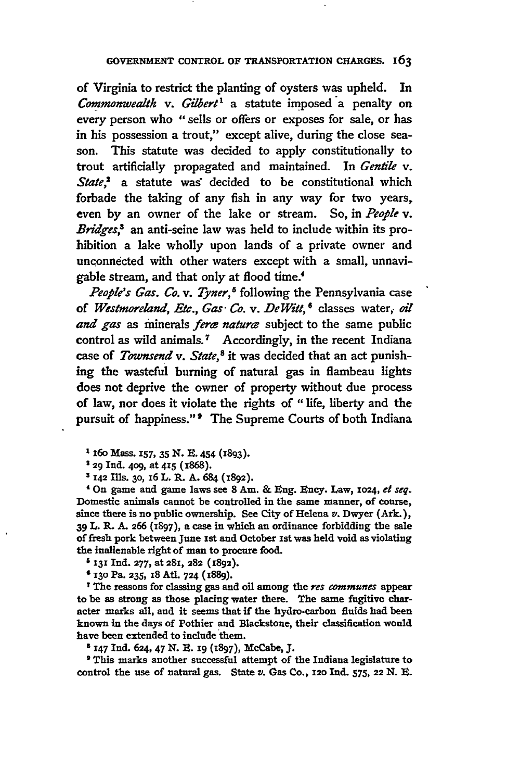of Virginia to restrict the planting of oysters was upheld. In *Commonwealth v. Gilbert'* a statute imposed a penalty on every person who "sells or offers or exposes for sale, or has in his possession a trout," except alive, during the close season. This statute was decided to apply constitutionally to trout artificially propagated and maintained. In *Gendle v.* State,<sup>2</sup> a statute was decided to be constitutional which forbade the taking of any fish in any way for two years, even by an owner of the lake or stream. So, in *People v.* Bridges,<sup>3</sup> an anti-seine law was held to include within its prohibition a lake wholly upon lands of a private owner and unconnected with other waters except with a small, unnavigable stream, and that only at flood time.

*People's Gas. Co. v. Tyner, 5* following the Pennsylvania case of *Westmoreland, Etc., Gas Co. v. DeWitt, 6* classes water, *oil* and gas as minerals *fera natura* subject to the same public control as wild animals. **7** Accordingly, in the recent Indiana case of *Townsend* v. *State*,<sup>8</sup> it was decided that an act punishing the wasteful burning of natural gas in flambeau lights does not deprive the owner of property without due process of law, nor does it violate the rights of "life, liberty and the pursuit of happiness."<sup>9</sup> The Supreme Courts of both Indiana

**1 i6O** Mass. **157, 35 N.** B. 454 **(1893).**

**2 29** Ind. **409,** at **415** (1868).

**s 142** Ills. **3o, z6** L. R. **A.** 684 **(1892).**

' On game and game laws see **8** Am. & Bng. **Ency.** Law, **ro24,** et **seg.** Domestic animals cannot be controlled in the same manner, of course, since there is no public ownership. See City of Helena *v.* Dwyer (Ark.), **39** L. R. **A. 266** (1897), a case in which an ordinance forbidding the sale of fresh pork between June ist and October ist was held void as violating the inalienable right of man to procure food.

**6 131** Ind. **277,** at 281, **282 (x892).**

**6 130** Pa. **235, I8** Atl. **724 (1889).** T The reasons for classing gas and oil among the *res communes* appear to be as strong as those placing water there. The same fugitive character marks all, and it seems that if the hydro-carbon fluids had been known in the days of Pothier and Blackstone, their classification would have been extended to include them.

**a 147 Ind.** 624, 47 **N. U. 19 (1897),** McCabe, **J.**

**9** This marks another successful attempt of the Indiana legislature to control the use of natural gas. State *v.* Gas Co., **x2o** Ind. **575, 22** *N. E.*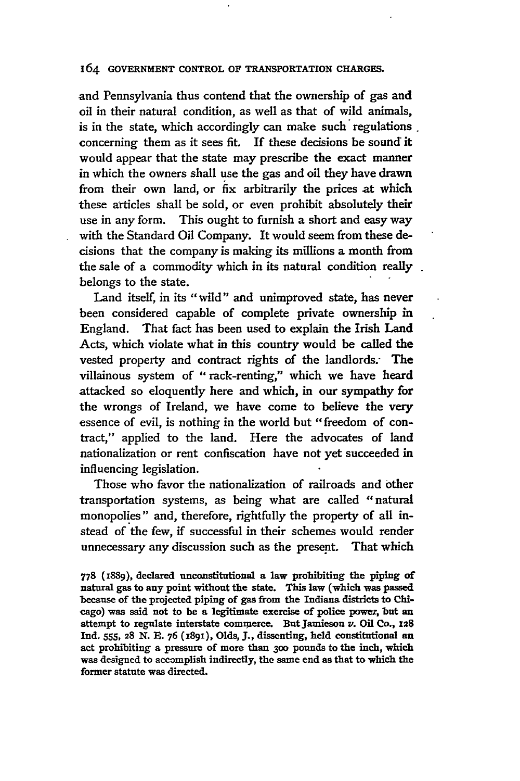and Pennsylvania thus contend that the ownership of gas and oil in their natural condition, as well as that of wild animals, is in the state, which accordingly can make such regulations concerning them as it sees fit. If these decisions be sound it would appear that the state may prescribe the exact manner in which the owners shall use the gas and oil they have drawn from their own land, or fix arbitrarily the prices at which these articles shall be sold, or even prohibit absolutely their use in any form. This ought to furnish a short and easy way with the Standard Oil Company. It would seem from these decisions that the company is making its millions a month from the sale of a commodity which in its natural condition really. belongs to the state.

Land itself, in its "wild" and unimproved state, has never been considered capable of complete private ownership in England. That fact has been used to explain the Irish Land Acts, which violate what in this country would be called the vested property and contract rights of the landlords: The villainous system of "rack-renting," which we have heard attacked so eloquently here and which, in our sympathy for the wrongs of Ireland, we have come to believe the very essence of evil, is nothing in the world but "freedom of contract," applied to the land. Here the advocates of land nationalization or rent confiscation have not yet succeeded in influencing legislation.

Those who favor the nationalization of railroads and other transportation systems, as being what are called "natural monopolies" and, therefore, rightfully the property of all instead of the few, if successful in their schemes would render unnecessary any discussion such as the present. That which

**778 (1889),** declared unconstitutional a law prohibiting the piping of natural gas to any point without the state. This law (which was passed because of the projected piping of gas from the Indiana districts to Chi- ,cago) was said not to be a legitimate exercise of police power, **but an** attempt to regulate interstate commerce. ButJamieson v. Oil Co., 128 **Ind. 555, 28 N. B. 76** (z891), Olds, **J.,** dissenting, held constitutional an act prohibiting a pressure of more than **300** pounds to the inch, which was designed to accomplish indirectly, the same end as that to which the **former statute was directed.**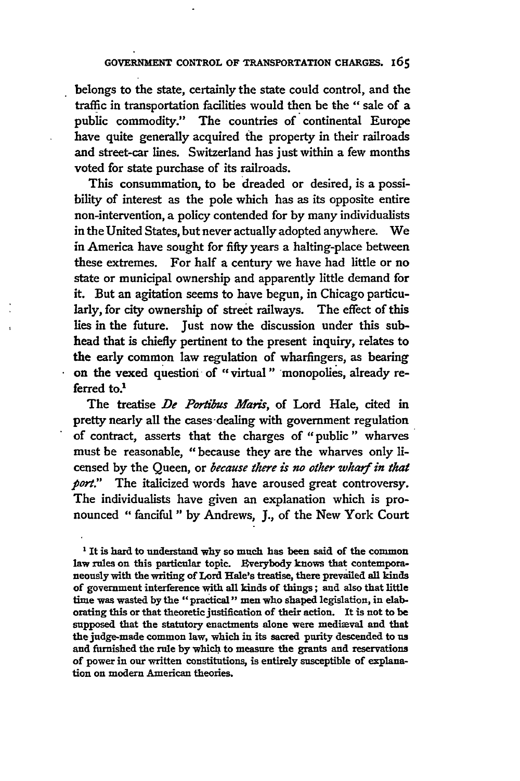belongs to the state, certainly the state could control, and the traffic in transportation facilities would then be the "sale of a public commodity." The countries of continental Europe have quite generally acquired the property in their railroads and street-car lines. Switzerland has just within a few months voted for state purchase of its railroads.

This consummation, to be dreaded or desired, is a possibility of interest as the pole which has as its opposite entire non-intervention, a policy contended for **by** many individualists in the United States, but never actually adopted anywhere. We in America have sought for **fifty** years a halting-place between these extremes. For half a century we have had little or no state or municipal ownership and apparently little demand for it. But an agitation seems to have begun, in Chicago particularly, for city ownership of street railways. The effect of this lies in the future. Just now the discussion under this subhead that is chiefly pertinent to the present inquiry, relates to the early common law regulation of wharfingers, as bearing on the vexed question of "virtual" monopolies, already referred to.<sup>1</sup>

The treatise **De** *Paribus Mars,* of Lord Hale, cited in pretty nearly all the cases dealing with government regulation of contract, asserts that the charges of "public" wharves must be reasonable, "because they are the wharves only licensed **by** the Queen, or *because there* is *no other wharf in that* port." The italicized words have aroused great controversy. The individualists have given an explanation which is pronounced "fanciful " **by** Andrews, J., of the New York Court

1It is hard to understand **why** so much has been **said of the common law rules** on this particular topic. Everybody knows that contemporaneously with the writing of Lord Hale's treatise, there prevailed all kinds of government interference with all kinds of things; and also that little time was wasted **by** the "practical" men who shaped legislation, in elaborating this or that theoretic justification of their action. It is not to be supposed that the statutory enactments alone were mediaeval and that the judge-made common law, which in its sacred purity descended to us and furnished the rule **by** which to measure the grants and reservations of power in our written constitutions, is entirely susceptible of explanation on modern American theories.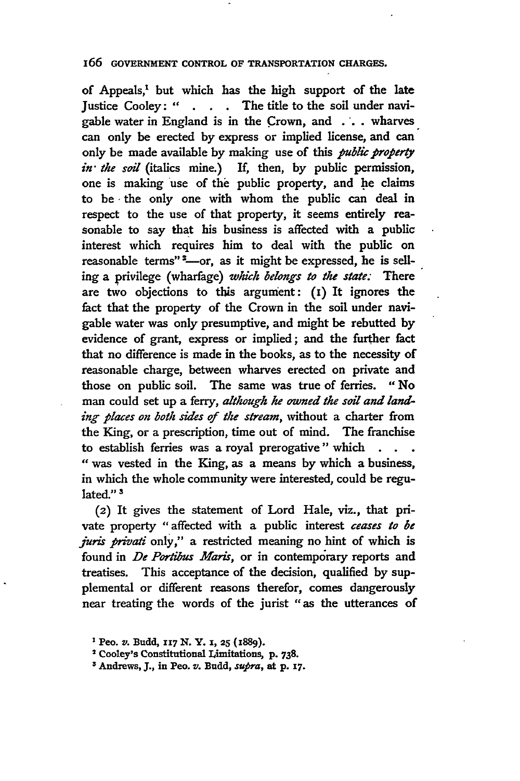of Appeals,' but which has the high support of the late Justice Cooley: " **. . .** The title to the soil under navigable water in England is in the Crown, and ... wharves can only be erected by express or implied license, and can only be made available by making use of this *public property in the soil* (italics mine.) If, then, by public permission, one is making use of the public property, and he claims to **be,** the only one with whom the public can deal in respect to the use of that property, it seems entirely reasonable to say that his business is affected with a public interest which requires him to deal with the public on reasonable terms"<sup>2</sup>-or, as it might be expressed, he is selling a privilege (wharfage) *which belongs to the state.* There are two objections to this argument: (I) It ignores the fact that the property of the Crown in the soil under navigable water was only presumptive, and might be rebutted by evidence of grant, express or implied; and the further fact that no difference is made in the books, as to the necessity of reasonable charge, between wharves erected on private and those on public soil. The same was true of ferries. "No man could set up a ferry, *although he owned the soil and landing- places on both sides of the stream,* without a charter from the King, or a prescription, time out of mind. The franchise to establish ferries was a royal prerogative" which . . . *i"* was vested in the King, as a means by which a business, in which the whole community were interested, could be regulated." **-**

**(2)** It gives the statement of Lord Hale, viz., that private property "affected with a public interest *ceases to be juris privati* only," a restricted meaning no hint of which is found in *De Portibus Maris*, or in contemporary reports and treatises. This acceptance of the decision, qualified by supplemental or different reasons therefor, comes dangerously near treating the words of the jurist *"as* the utterances of

**I Peo.** *v.* **Budd, r17 N. Y. 1, 25 (1889).**

<sup>2</sup> **Cooley's Constitutional Limitations, p. 738.**

**<sup>3</sup>Andrews, J., in Peo.** v. **Budd,** *sufira,* **at p. 17.**